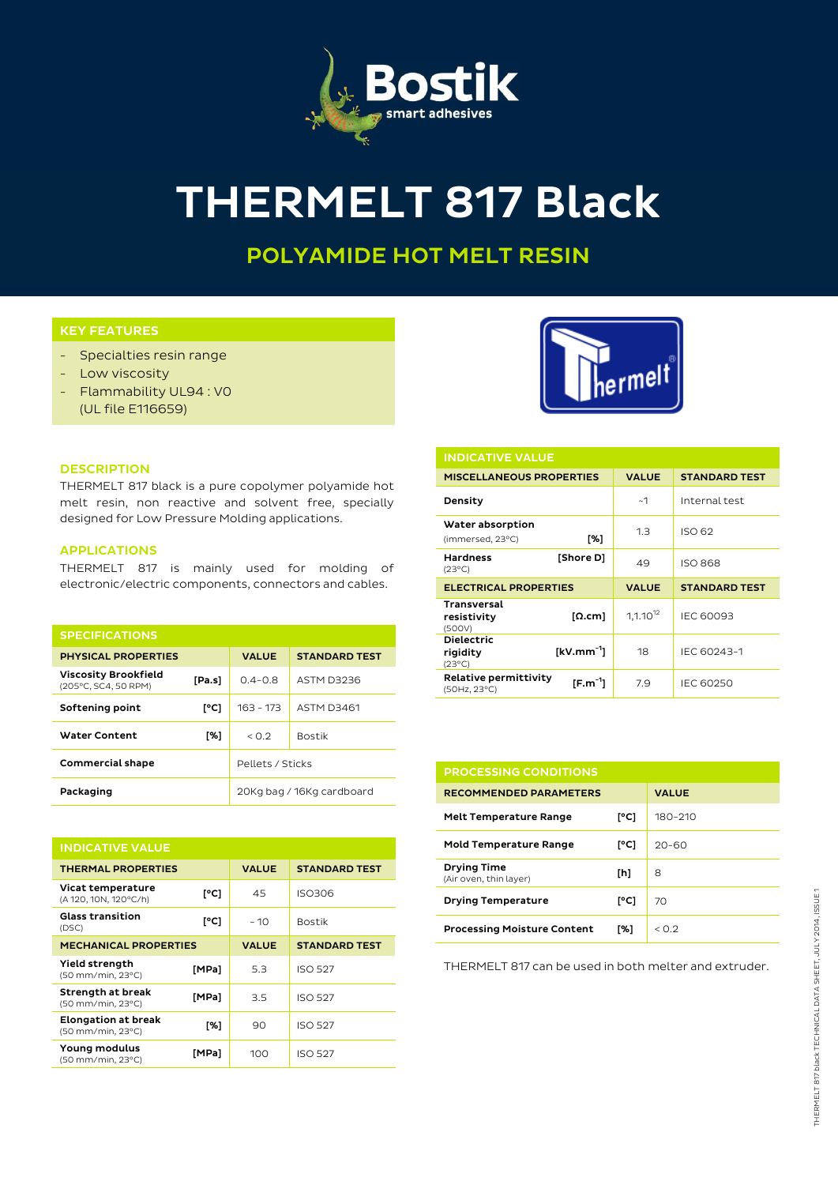

# THERMELT 817 Black

## POLYAMIDE HOT MELT RESIN

#### KEY FEATURES

- Specialties resin range
- Low viscosity
- Flammability UL94 : V0 (UL file E116659)



THERMELT 817 black is a pure copolymer polyamide hot melt resin, non reactive and solvent free, specially designed for Low Pressure Molding applications.

#### APPLICATIONS

THERMELT 817 is mainly used for molding of electronic/electric components, connectors and cables.

| <b>SPECIFICATIONS</b>                               |        |                  |                           |
|-----------------------------------------------------|--------|------------------|---------------------------|
| <b>PHYSICAL PROPERTIES</b>                          |        | <b>VALUE</b>     | <b>STANDARD TEST</b>      |
| <b>Viscosity Brookfield</b><br>(205°C, SC4, 50 RPM) | [Pa.s] | $0.4 - 0.8$      | ASTM D3236                |
| Softening point                                     | [°C]   | $163 - 173$      | <b>ASTM D3461</b>         |
| <b>Water Content</b>                                | [%]    | < 0.2            | <b>Bostik</b>             |
| <b>Commercial shape</b>                             |        | Pellets / Sticks |                           |
| Packaging                                           |        |                  | 20Kg bag / 16Kg cardboard |

| <b>INDICATIVE VALUE</b>                         |       |              |                      |  |  |
|-------------------------------------------------|-------|--------------|----------------------|--|--|
| <b>THERMAL PROPERTIES</b>                       |       | <b>VALUE</b> | <b>STANDARD TEST</b> |  |  |
| Vicat temperature<br>(A 120, 10N, 120°C/h)      | [°C]  | 45           | <b>ISO306</b>        |  |  |
| <b>Glass transition</b><br>(DSC)                | [°C]  | $-10$        | <b>Bostik</b>        |  |  |
| <b>MECHANICAL PROPERTIES</b>                    |       | <b>VALUE</b> | <b>STANDARD TEST</b> |  |  |
| Yield strength<br>(50 mm/min, 23°C)             | [MPa] | 5.3          | <b>ISO 527</b>       |  |  |
| Strength at break<br>(50 mm/min, 23°C)          | [MPa] | 3.5          | <b>ISO 527</b>       |  |  |
| <b>Elongation at break</b><br>(50 mm/min, 23°C) | [%]   | 90           | <b>ISO 527</b>       |  |  |
| Young modulus<br>(50 mm/min, 23°C)              | [MPa] | 100          | <b>ISO 527</b>       |  |  |



| <b>INDICATIVE VALUE</b>                                                  |               |                      |  |  |
|--------------------------------------------------------------------------|---------------|----------------------|--|--|
| <b>MISCELLANEOUS PROPERTIES</b>                                          | <b>VALUE</b>  | <b>STANDARD TEST</b> |  |  |
| Density                                                                  | ~1            | Internal test        |  |  |
| Water absorption<br>[%]<br>(immersed, 23°C)                              | 1.3           | ISO 62               |  |  |
| <b>Hardness</b><br>[Shore D]<br>$(23^{\circ}C)$                          | 49            | <b>ISO 868</b>       |  |  |
| <b>ELECTRICAL PROPERTIES</b>                                             | <b>VALUE</b>  | <b>STANDARD TEST</b> |  |  |
| <b>Transversal</b><br>$\lceil \Omega.cm \rceil$<br>resistivity<br>(500V) | $1,1.10^{12}$ | <b>IEC 60093</b>     |  |  |
| <b>Dielectric</b><br>$IkV.mm^{-1}$<br>rigidity<br>$(23^{\circ}C)$        | 18            | IEC 60243-1          |  |  |
| Relative permittivity<br>$[F.m-1]$<br>(50Hz, 23°C)                       | 7.9           | <b>IEC 60250</b>     |  |  |

| <b>PROCESSING CONDITIONS</b>                 |      |                      |  |  |
|----------------------------------------------|------|----------------------|--|--|
| <b>RECOMMENDED PARAMETERS</b>                |      | <b>VALUE</b>         |  |  |
| <b>Melt Temperature Range</b>                | [°C] | 180-210              |  |  |
| <b>Mold Temperature Range</b>                | [°C] | $20 - 60$            |  |  |
| <b>Drying Time</b><br>(Air oven, thin layer) | [h]  | 8                    |  |  |
| <b>Drying Temperature</b>                    | [°C] | 70                   |  |  |
| <b>Processing Moisture Content</b>           | [%]  | $\leq$ $\cap$ $\geq$ |  |  |

THERMELT 817 can be used in both melter and extruder.